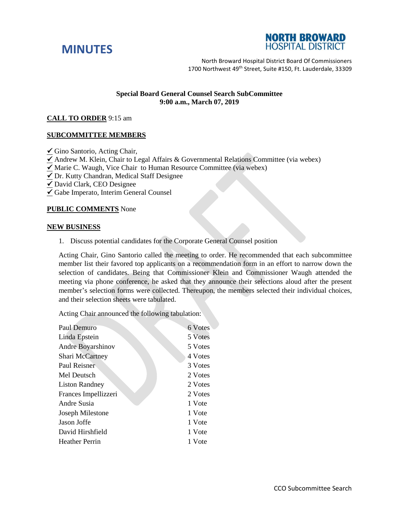



North Broward Hospital District Board Of Commissioners 1700 Northwest 49<sup>th</sup> Street, Suite #150, Ft. Lauderdale. 33309

# **Special Board General Counsel Search SubCommittee 9:00 a.m., March 07, 2019**

## **CALL TO ORDER** 9:15 am

## **SUBCOMMITTEE MEMBERS**

 $\checkmark$  Gino Santorio, Acting Chair,

 $\checkmark$  Andrew M. Klein, Chair to Legal Affairs & Governmental Relations Committee (via webex)

- $\angle$  Marie C. Waugh, Vice Chair to Human Resource Committee (via webex)
- $\overline{\checkmark}$  Dr. Kutty Chandran, Medical Staff Designee
- $\overline{\underline{\checkmark}}$  David Clark, CEO Designee
- Gabe Imperato, Interim General Counsel

#### **PUBLIC COMMENTS** None

#### **NEW BUSINESS**

1. Discuss potential candidates for the Corporate General Counsel position

Acting Chair, Gino Santorio called the meeting to order. He recommended that each subcommittee member list their favored top applicants on a recommendation form in an effort to narrow down the selection of candidates. Being that Commissioner Klein and Commissioner Waugh attended the meeting via phone conference, he asked that they announce their selections aloud after the present member's selection forms were collected. Thereupon, the members selected their individual choices, and their selection sheets were tabulated.

Acting Chair announced the following tabulation:

| Paul Demuro           | 6 Votes |
|-----------------------|---------|
| Linda Epstein         | 5 Votes |
| Andre Boyarshinov     | 5 Votes |
| Shari McCartney       | 4 Votes |
| Paul Reisner          | 3 Votes |
| Mel Deutsch           | 2 Votes |
| <b>Liston Randney</b> | 2 Votes |
| Frances Impellizzeri  | 2 Votes |
| Andre Susia           | 1 Vote  |
| Joseph Milestone      | 1 Vote  |
| Jason Joffe           | 1 Vote  |
| David Hirshfield      | 1 Vote  |
| <b>Heather Perrin</b> | 1 Vote  |
|                       |         |